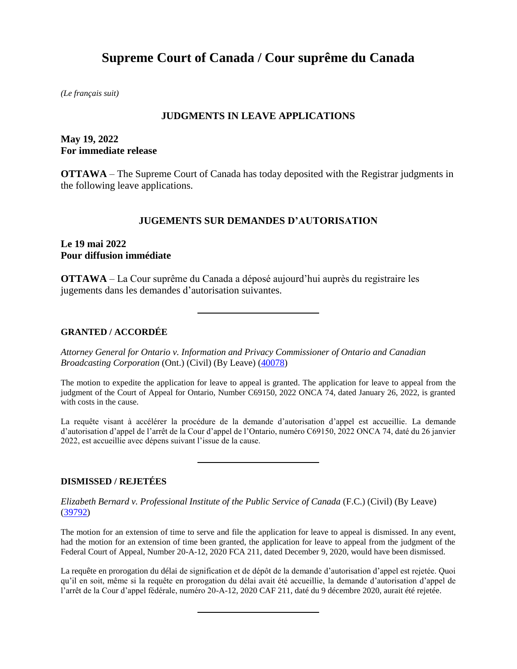# **Supreme Court of Canada / Cour suprême du Canada**

*(Le français suit)*

#### **JUDGMENTS IN LEAVE APPLICATIONS**

# **May 19, 2022 For immediate release**

**OTTAWA** – The Supreme Court of Canada has today deposited with the Registrar judgments in the following leave applications.

## **JUGEMENTS SUR DEMANDES D'AUTORISATION**

## **Le 19 mai 2022 Pour diffusion immédiate**

**OTTAWA** – La Cour suprême du Canada a déposé aujourd'hui auprès du registraire les jugements dans les demandes d'autorisation suivantes.

#### **GRANTED / ACCORDÉE**

*Attorney General for Ontario v. Information and Privacy Commissioner of Ontario and Canadian Broadcasting Corporation* (Ont.) (Civil) (By Leave) [\(40078\)](https://www.scc-csc.ca/case-dossier/info/sum-som-eng.aspx?cas=40078)

The motion to expedite the application for leave to appeal is granted. The application for leave to appeal from the judgment of the Court of Appeal for Ontario, Number C69150, 2022 ONCA 74, dated January 26, 2022, is granted with costs in the cause.

La requête visant à accélérer la procédure de la demande d'autorisation d'appel est accueillie. La demande d'autorisation d'appel de l'arrêt de la Cour d'appel de l'Ontario, numéro C69150, 2022 ONCA 74, daté du 26 janvier 2022, est accueillie avec dépens suivant l'issue de la cause.

#### **DISMISSED / REJETÉES**

*Elizabeth Bernard v. Professional Institute of the Public Service of Canada* (F.C.) (Civil) (By Leave) [\(39792\)](https://www.scc-csc.ca/case-dossier/info/sum-som-eng.aspx?cas=39792)

The motion for an extension of time to serve and file the application for leave to appeal is dismissed. In any event, had the motion for an extension of time been granted, the application for leave to appeal from the judgment of the Federal Court of Appeal, Number 20-A-12, 2020 FCA 211, dated December 9, 2020, would have been dismissed.

La requête en prorogation du délai de signification et de dépôt de la demande d'autorisation d'appel est rejetée. Quoi qu'il en soit, même si la requête en prorogation du délai avait été accueillie, la demande d'autorisation d'appel de l'arrêt de la Cour d'appel fédérale, numéro 20-A-12, 2020 CAF 211, daté du 9 décembre 2020, aurait été rejetée.